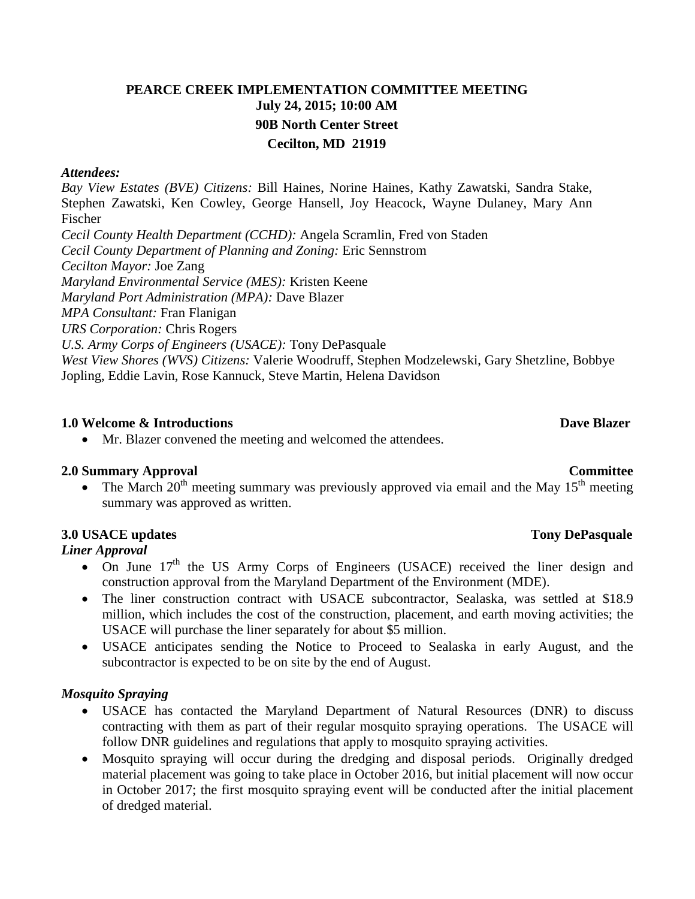# **PEARCE CREEK IMPLEMENTATION COMMITTEE MEETING July 24, 2015; 10:00 AM 90B North Center Street Cecilton, MD 21919**

### *Attendees:*

*Bay View Estates (BVE) Citizens:* Bill Haines, Norine Haines, Kathy Zawatski, Sandra Stake, Stephen Zawatski, Ken Cowley, George Hansell, Joy Heacock, Wayne Dulaney, Mary Ann Fischer *Cecil County Health Department (CCHD):* Angela Scramlin, Fred von Staden *Cecil County Department of Planning and Zoning:* Eric Sennstrom *Cecilton Mayor:* Joe Zang *Maryland Environmental Service (MES):* Kristen Keene *Maryland Port Administration (MPA):* Dave Blazer *MPA Consultant:* Fran Flanigan *URS Corporation:* Chris Rogers *U.S. Army Corps of Engineers (USACE):* Tony DePasquale *West View Shores (WVS) Citizens:* Valerie Woodruff, Stephen Modzelewski, Gary Shetzline, Bobbye Jopling, Eddie Lavin, Rose Kannuck, Steve Martin, Helena Davidson

### **1.0** Welcome & Introductions **Dave Blazer** Dave Blazer

• Mr. Blazer convened the meeting and welcomed the attendees.

## **2.0 Summary Approval Committee**

• The March  $20<sup>th</sup>$  meeting summary was previously approved via email and the May 15<sup>th</sup> meeting summary was approved as written.

## **3.0 USACE updates Tony DePasquale**

## *Liner Approval*

- On June  $17<sup>th</sup>$  the US Army Corps of Engineers (USACE) received the liner design and construction approval from the Maryland Department of the Environment (MDE).
- The liner construction contract with USACE subcontractor, Sealaska, was settled at \$18.9 million, which includes the cost of the construction, placement, and earth moving activities; the USACE will purchase the liner separately for about \$5 million.
- USACE anticipates sending the Notice to Proceed to Sealaska in early August, and the subcontractor is expected to be on site by the end of August.

## *Mosquito Spraying*

- USACE has contacted the Maryland Department of Natural Resources (DNR) to discuss contracting with them as part of their regular mosquito spraying operations. The USACE will follow DNR guidelines and regulations that apply to mosquito spraying activities.
- Mosquito spraying will occur during the dredging and disposal periods. Originally dredged material placement was going to take place in October 2016, but initial placement will now occur in October 2017; the first mosquito spraying event will be conducted after the initial placement of dredged material.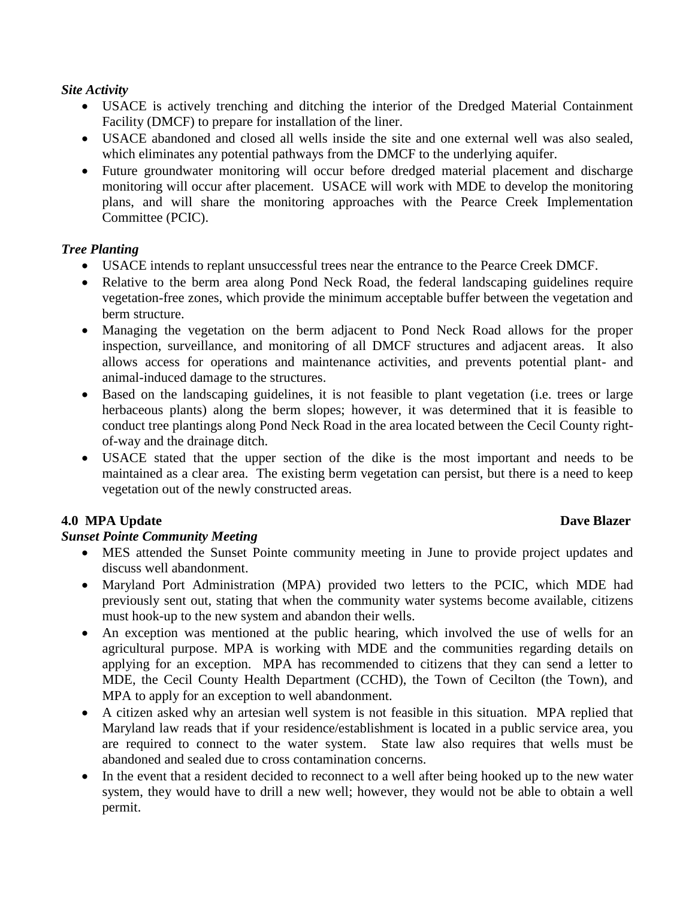## *Site Activity*

- USACE is actively trenching and ditching the interior of the Dredged Material Containment Facility (DMCF) to prepare for installation of the liner.
- USACE abandoned and closed all wells inside the site and one external well was also sealed, which eliminates any potential pathways from the DMCF to the underlying aquifer.
- Future groundwater monitoring will occur before dredged material placement and discharge monitoring will occur after placement. USACE will work with MDE to develop the monitoring plans, and will share the monitoring approaches with the Pearce Creek Implementation Committee (PCIC).

# *Tree Planting*

- USACE intends to replant unsuccessful trees near the entrance to the Pearce Creek DMCF.
- Relative to the berm area along Pond Neck Road, the federal landscaping guidelines require vegetation-free zones, which provide the minimum acceptable buffer between the vegetation and berm structure.
- Managing the vegetation on the berm adjacent to Pond Neck Road allows for the proper inspection, surveillance, and monitoring of all DMCF structures and adjacent areas. It also allows access for operations and maintenance activities, and prevents potential plant- and animal-induced damage to the structures.
- Based on the landscaping guidelines, it is not feasible to plant vegetation (i.e. trees or large herbaceous plants) along the berm slopes; however, it was determined that it is feasible to conduct tree plantings along Pond Neck Road in the area located between the Cecil County rightof-way and the drainage ditch.
- USACE stated that the upper section of the dike is the most important and needs to be maintained as a clear area. The existing berm vegetation can persist, but there is a need to keep vegetation out of the newly constructed areas.

# **4.0** MPA Update Dave Blazer

## *Sunset Pointe Community Meeting*

- MES attended the Sunset Pointe community meeting in June to provide project updates and discuss well abandonment.
- Maryland Port Administration (MPA) provided two letters to the PCIC, which MDE had previously sent out, stating that when the community water systems become available, citizens must hook-up to the new system and abandon their wells.
- An exception was mentioned at the public hearing, which involved the use of wells for an agricultural purpose. MPA is working with MDE and the communities regarding details on applying for an exception. MPA has recommended to citizens that they can send a letter to MDE, the Cecil County Health Department (CCHD), the Town of Cecilton (the Town), and MPA to apply for an exception to well abandonment.
- A citizen asked why an artesian well system is not feasible in this situation. MPA replied that Maryland law reads that if your residence/establishment is located in a public service area, you are required to connect to the water system. State law also requires that wells must be abandoned and sealed due to cross contamination concerns.
- In the event that a resident decided to reconnect to a well after being hooked up to the new water system, they would have to drill a new well; however, they would not be able to obtain a well permit.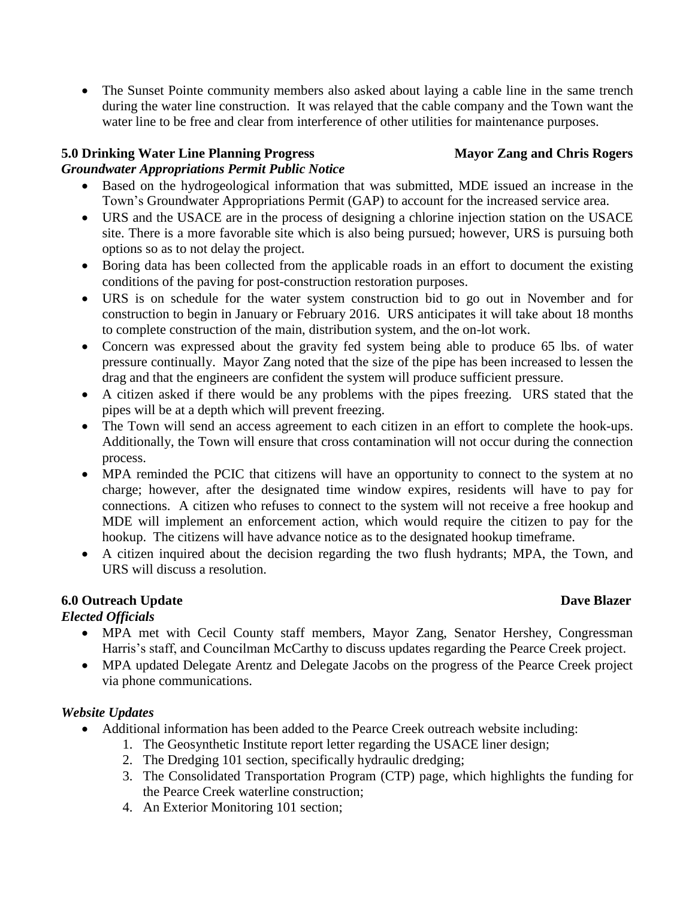• The Sunset Pointe community members also asked about laying a cable line in the same trench during the water line construction. It was relayed that the cable company and the Town want the water line to be free and clear from interference of other utilities for maintenance purposes.

# **5.0 Drinking Water Line Planning Progress Mayor Zang and Chris Rogers**

# *Groundwater Appropriations Permit Public Notice*

- Based on the hydrogeological information that was submitted, MDE issued an increase in the Town's Groundwater Appropriations Permit (GAP) to account for the increased service area.
- URS and the USACE are in the process of designing a chlorine injection station on the USACE site. There is a more favorable site which is also being pursued; however, URS is pursuing both options so as to not delay the project.
- Boring data has been collected from the applicable roads in an effort to document the existing conditions of the paving for post-construction restoration purposes.
- URS is on schedule for the water system construction bid to go out in November and for construction to begin in January or February 2016. URS anticipates it will take about 18 months to complete construction of the main, distribution system, and the on-lot work.
- Concern was expressed about the gravity fed system being able to produce 65 lbs. of water pressure continually. Mayor Zang noted that the size of the pipe has been increased to lessen the drag and that the engineers are confident the system will produce sufficient pressure.
- A citizen asked if there would be any problems with the pipes freezing. URS stated that the pipes will be at a depth which will prevent freezing.
- The Town will send an access agreement to each citizen in an effort to complete the hook-ups. Additionally, the Town will ensure that cross contamination will not occur during the connection process.
- MPA reminded the PCIC that citizens will have an opportunity to connect to the system at no charge; however, after the designated time window expires, residents will have to pay for connections. A citizen who refuses to connect to the system will not receive a free hookup and MDE will implement an enforcement action, which would require the citizen to pay for the hookup. The citizens will have advance notice as to the designated hookup timeframe.
- A citizen inquired about the decision regarding the two flush hydrants; MPA, the Town, and URS will discuss a resolution.

# **6.0** Outreach Update Dave Blazer

# *Elected Officials*

- MPA met with Cecil County staff members, Mayor Zang, Senator Hershey, Congressman Harris's staff, and Councilman McCarthy to discuss updates regarding the Pearce Creek project.
- MPA updated Delegate Arentz and Delegate Jacobs on the progress of the Pearce Creek project via phone communications.

# *Website Updates*

- Additional information has been added to the Pearce Creek outreach website including:
	- 1. The Geosynthetic Institute report letter regarding the USACE liner design;
		- 2. The Dredging 101 section, specifically hydraulic dredging;
	- 3. The Consolidated Transportation Program (CTP) page, which highlights the funding for the Pearce Creek waterline construction;
	- 4. An Exterior Monitoring 101 section;